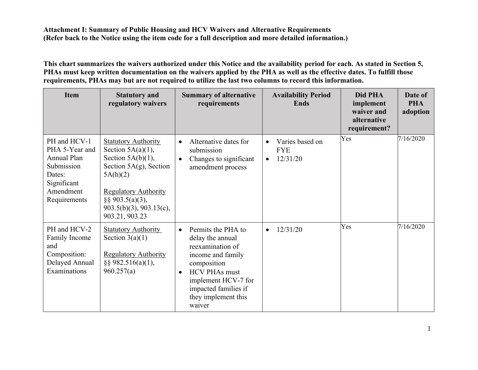**This chart summarizes the waivers authorized under this Notice and the availability period for each. As stated in Section 5, PHAs must keep written documentation on the waivers applied by the PHA as well as the effective dates. To fulfill those requirements, PHAs may but are not required to utilize the last two columns to record this information.** 

| <b>Item</b>                                                                                                              | <b>Statutory and</b><br>regulatory waivers                                                                                                                                                                                   | <b>Summary of alternative</b><br>requirements                                                                                                                                                                                    | <b>Availability Period</b><br><b>Ends</b>              | Did PHA<br>implement<br>waiver and<br>alternative<br>requirement? | Date of<br><b>PHA</b><br>adoption |
|--------------------------------------------------------------------------------------------------------------------------|------------------------------------------------------------------------------------------------------------------------------------------------------------------------------------------------------------------------------|----------------------------------------------------------------------------------------------------------------------------------------------------------------------------------------------------------------------------------|--------------------------------------------------------|-------------------------------------------------------------------|-----------------------------------|
| PH and HCV-1<br>PHA 5-Year and<br><b>Annual Plan</b><br>Submission<br>Dates:<br>Significant<br>Amendment<br>Requirements | <b>Statutory Authority</b><br>Section $5A(a)(1)$ ,<br>Section $5A(b)(1)$ ,<br>Section $5A(g)$ , Section<br>5A(h)(2)<br><b>Regulatory Authority</b><br>$\S$ § 903.5(a)(3),<br>$903.5(b)(3)$ , $903.13(c)$ ,<br>903.21, 903.23 | Alternative dates for<br>$\bullet$<br>submission<br>Changes to significant<br>$\bullet$<br>amendment process                                                                                                                     | Varies based on<br><b>FYE</b><br>12/31/20<br>$\bullet$ | Yes                                                               | 7/16/2020                         |
| PH and HCV-2<br><b>Family Income</b><br>and<br>Composition:<br>Delayed Annual<br>Examinations                            | <b>Statutory Authority</b><br>Section $3(a)(1)$<br><b>Regulatory Authority</b><br>$\S$ § 982.516(a)(1),<br>960.257(a)                                                                                                        | Permits the PHA to<br>$\bullet$<br>delay the annual<br>reexamination of<br>income and family<br>composition<br><b>HCV PHAs must</b><br>$\bullet$<br>implement HCV-7 for<br>impacted families if<br>they implement this<br>waiver | 12/31/20<br>$\bullet$                                  | Yes                                                               | 7/16/2020                         |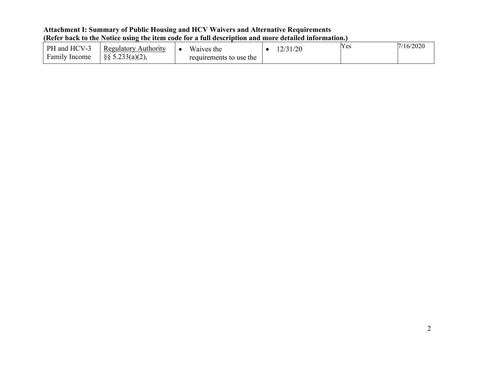| PH and HCV-3         | <b>Regulatory Authority</b>  | Waives the              | 12/31/20 | Yes | 7/16/2020 |
|----------------------|------------------------------|-------------------------|----------|-----|-----------|
| <b>Family Income</b> | $\frac{1}{8}$ § 5.233(a)(2), | requirements to use the |          |     |           |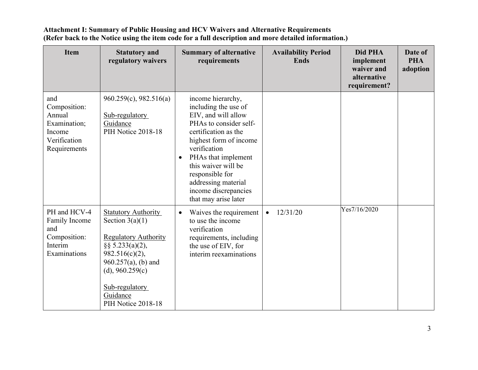| <b>Item</b>                                                                             | <b>Statutory and</b><br>regulatory waivers                                                                                                                                                                                   | <b>Summary of alternative</b><br>requirements                                                                                                                                                                                                                                                                     | <b>Availability Period</b><br><b>Ends</b> | Did PHA<br>implement<br>waiver and<br>alternative<br>requirement? | Date of<br><b>PHA</b><br>adoption |
|-----------------------------------------------------------------------------------------|------------------------------------------------------------------------------------------------------------------------------------------------------------------------------------------------------------------------------|-------------------------------------------------------------------------------------------------------------------------------------------------------------------------------------------------------------------------------------------------------------------------------------------------------------------|-------------------------------------------|-------------------------------------------------------------------|-----------------------------------|
| and<br>Composition:<br>Annual<br>Examination;<br>Income<br>Verification<br>Requirements | $960.259(c)$ , $982.516(a)$<br>Sub-regulatory<br>Guidance<br>PIH Notice 2018-18                                                                                                                                              | income hierarchy,<br>including the use of<br>EIV, and will allow<br>PHAs to consider self-<br>certification as the<br>highest form of income<br>verification<br>PHAs that implement<br>$\bullet$<br>this waiver will be<br>responsible for<br>addressing material<br>income discrepancies<br>that may arise later |                                           |                                                                   |                                   |
| PH and HCV-4<br>Family Income<br>and<br>Composition:<br>Interim<br>Examinations         | <b>Statutory Authority</b><br>Section $3(a)(1)$<br><b>Regulatory Authority</b><br>§§ $5.233(a)(2)$ ,<br>$982.516(c)(2)$ ,<br>$960.257(a)$ , (b) and<br>(d), $960.259(c)$<br>Sub-regulatory<br>Guidance<br>PIH Notice 2018-18 | Waives the requirement<br>$\bullet$<br>to use the income<br>verification<br>requirements, including<br>the use of EIV, for<br>interim reexaminations                                                                                                                                                              | 12/31/20<br>$\bullet$                     | Yes7/16/2020                                                      |                                   |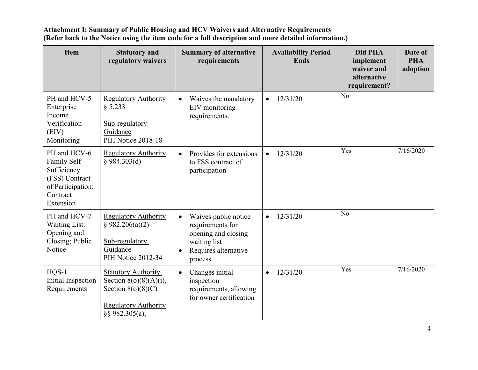| <b>Item</b>                                                                                                 | <b>Statutory and</b><br>regulatory waivers                                                                                       | <b>Summary of alternative</b><br>requirements                                                                                                | <b>Availability Period</b><br><b>Ends</b> | Did PHA<br>implement<br>waiver and<br>alternative<br>requirement? | Date of<br><b>PHA</b><br>adoption |
|-------------------------------------------------------------------------------------------------------------|----------------------------------------------------------------------------------------------------------------------------------|----------------------------------------------------------------------------------------------------------------------------------------------|-------------------------------------------|-------------------------------------------------------------------|-----------------------------------|
| PH and HCV-5<br>Enterprise<br>Income<br>Verification<br>(EIV)<br>Monitoring                                 | <b>Regulatory Authority</b><br>§ 5.233<br>Sub-regulatory<br>Guidance<br>PIH Notice 2018-18                                       | Waives the mandatory<br>$\bullet$<br>EIV monitoring<br>requirements.                                                                         | 12/31/20<br>$\bullet$                     | No                                                                |                                   |
| PH and HCV-6<br>Family Self-<br>Sufficiency<br>(FSS) Contract<br>of Participation:<br>Contract<br>Extension | <b>Regulatory Authority</b><br>§ 984.303(d)                                                                                      | Provides for extensions<br>$\bullet$<br>to FSS contract of<br>participation                                                                  | 12/31/20<br>$\bullet$                     | Yes                                                               | 7/16/2020                         |
| PH and HCV-7<br><b>Waiting List:</b><br>Opening and<br>Closing; Public<br>Notice                            | <b>Regulatory Authority</b><br>§ 982.206(a)(2)<br>Sub-regulatory<br>Guidance<br>PIH Notice 2012-34                               | Waives public notice<br>$\bullet$<br>requirements for<br>opening and closing<br>waiting list<br>Requires alternative<br>$\bullet$<br>process | 12/31/20<br>$\bullet$                     | No                                                                |                                   |
| $HQS-1$<br>Initial Inspection<br>Requirements                                                               | <b>Statutory Authority</b><br>Section $8(o)(8)(A)(i)$ ,<br>Section $8(o)(8)(C)$<br><b>Regulatory Authority</b><br>§§ 982.305(a), | Changes initial<br>$\bullet$<br>inspection<br>requirements, allowing<br>for owner certification                                              | 12/31/20<br>$\bullet$                     | Yes                                                               | 7/16/2020                         |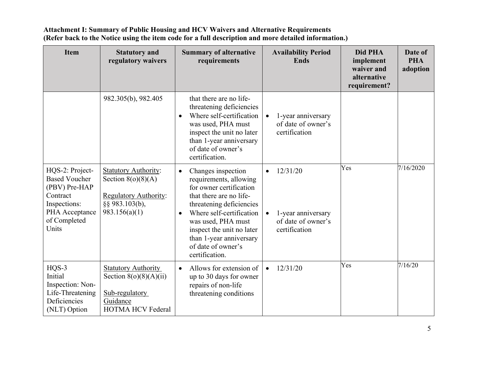| <b>Item</b>                                                                                                                     | <b>Statutory and</b><br>regulatory waivers                                                                             | <b>Summary of alternative</b><br>requirements                                                                                                                                                                                                                                                              | <b>Availability Period</b><br><b>Ends</b>                                          | Did PHA<br>implement<br>waiver and<br>alternative<br>requirement? | Date of<br><b>PHA</b><br>adoption |
|---------------------------------------------------------------------------------------------------------------------------------|------------------------------------------------------------------------------------------------------------------------|------------------------------------------------------------------------------------------------------------------------------------------------------------------------------------------------------------------------------------------------------------------------------------------------------------|------------------------------------------------------------------------------------|-------------------------------------------------------------------|-----------------------------------|
|                                                                                                                                 | 982.305(b), 982.405                                                                                                    | that there are no life-<br>threatening deficiencies<br>Where self-certification<br>$\bullet$<br>was used, PHA must<br>inspect the unit no later<br>than 1-year anniversary<br>of date of owner's<br>certification.                                                                                         | 1-year anniversary<br>of date of owner's<br>certification                          |                                                                   |                                   |
| HQS-2: Project-<br><b>Based Voucher</b><br>(PBV) Pre-HAP<br>Contract<br>Inspections:<br>PHA Acceptance<br>of Completed<br>Units | <b>Statutory Authority:</b><br>Section $8(o)(8)(A)$<br><b>Regulatory Authority:</b><br>§§ 983.103(b),<br>983.156(a)(1) | Changes inspection<br>$\bullet$<br>requirements, allowing<br>for owner certification<br>that there are no life-<br>threatening deficiencies<br>Where self-certification<br>$\bullet$<br>was used, PHA must<br>inspect the unit no later<br>than 1-year anniversary<br>of date of owner's<br>certification. | 12/31/20<br>$\bullet$<br>1-year anniversary<br>of date of owner's<br>certification | Yes                                                               | 7/16/2020                         |
| HQS-3<br>Initial<br>Inspection: Non-<br>Life-Threatening<br>Deficiencies<br>(NLT) Option                                        | <b>Statutory Authority</b><br>Section $8(o)(8)(A)(ii)$<br>Sub-regulatory<br>Guidance<br><b>HOTMA HCV Federal</b>       | Allows for extension of<br>$\bullet$<br>up to 30 days for owner<br>repairs of non-life<br>threatening conditions                                                                                                                                                                                           | 12/31/20<br>$\bullet$                                                              | Yes                                                               | 7/16/20                           |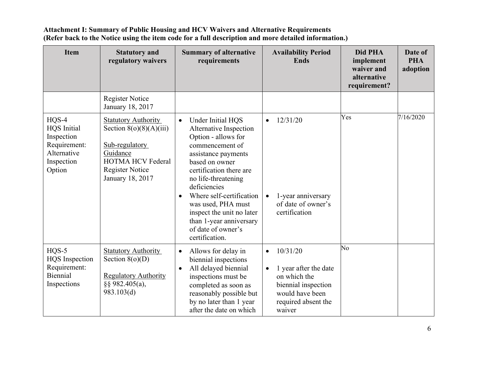| <b>Item</b>                                                                                        | <b>Statutory and</b><br>regulatory waivers                                                                                                                      | <b>Summary of alternative</b><br>requirements                                                                                                                                                                                                                                                                                                                                | <b>Availability Period</b><br><b>Ends</b>                                                                                                              | Did PHA<br>implement<br>waiver and<br>alternative<br>requirement? | Date of<br><b>PHA</b><br>adoption |
|----------------------------------------------------------------------------------------------------|-----------------------------------------------------------------------------------------------------------------------------------------------------------------|------------------------------------------------------------------------------------------------------------------------------------------------------------------------------------------------------------------------------------------------------------------------------------------------------------------------------------------------------------------------------|--------------------------------------------------------------------------------------------------------------------------------------------------------|-------------------------------------------------------------------|-----------------------------------|
|                                                                                                    | <b>Register Notice</b><br>January 18, 2017                                                                                                                      |                                                                                                                                                                                                                                                                                                                                                                              |                                                                                                                                                        |                                                                   |                                   |
| $HQS-4$<br><b>HQS</b> Initial<br>Inspection<br>Requirement:<br>Alternative<br>Inspection<br>Option | <b>Statutory Authority</b><br>Section $8(o)(8)(A)(iii)$<br>Sub-regulatory<br>Guidance<br><b>HOTMA HCV Federal</b><br><b>Register Notice</b><br>January 18, 2017 | Under Initial HQS<br>$\bullet$<br>Alternative Inspection<br>Option - allows for<br>commencement of<br>assistance payments<br>based on owner<br>certification there are<br>no life-threatening<br>deficiencies<br>Where self-certification<br>$\bullet$<br>was used, PHA must<br>inspect the unit no later<br>than 1-year anniversary<br>of date of owner's<br>certification. | 12/31/20<br>$\bullet$<br>1-year anniversary<br>$\bullet$<br>of date of owner's<br>certification                                                        | Yes                                                               | 7/16/2020                         |
| $HQS-5$<br><b>HQS</b> Inspection<br>Requirement:<br>Biennial<br>Inspections                        | <b>Statutory Authority</b><br>Section $8(o)(D)$<br><b>Regulatory Authority</b><br>$\S$ § 982.405(a),<br>983.103(d)                                              | Allows for delay in<br>$\bullet$<br>biennial inspections<br>All delayed biennial<br>$\bullet$<br>inspections must be<br>completed as soon as<br>reasonably possible but<br>by no later than 1 year<br>after the date on which                                                                                                                                                | 10/31/20<br>$\bullet$<br>1 year after the date<br>$\bullet$<br>on which the<br>biennial inspection<br>would have been<br>required absent the<br>waiver | N <sub>o</sub>                                                    |                                   |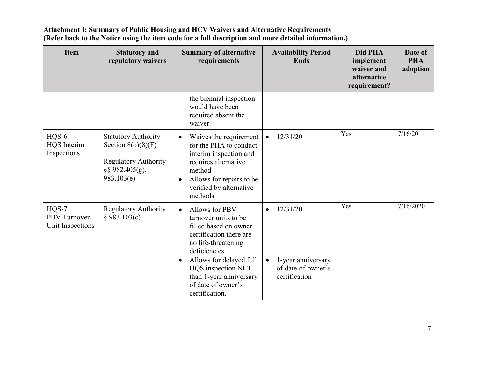| <b>Item</b>                                 | <b>Statutory and</b><br>regulatory waivers                                                                            | <b>Summary of alternative</b><br>requirements                                                                                                                                                                                                                                   | <b>Availability Period</b><br><b>Ends</b>                                                       | Did PHA<br>implement<br>waiver and<br>alternative<br>requirement? | Date of<br><b>PHA</b><br>adoption |
|---------------------------------------------|-----------------------------------------------------------------------------------------------------------------------|---------------------------------------------------------------------------------------------------------------------------------------------------------------------------------------------------------------------------------------------------------------------------------|-------------------------------------------------------------------------------------------------|-------------------------------------------------------------------|-----------------------------------|
|                                             |                                                                                                                       | the biennial inspection<br>would have been<br>required absent the<br>waiver.                                                                                                                                                                                                    |                                                                                                 |                                                                   |                                   |
| HQS-6<br><b>HQS</b> Interim<br>Inspections  | <b>Statutory Authority</b><br>Section $8(o)(8)(F)$<br><b>Regulatory Authority</b><br>$\S$ § 982.405(g),<br>983.103(e) | Waives the requirement<br>$\bullet$<br>for the PHA to conduct<br>interim inspection and<br>requires alternative<br>method<br>Allows for repairs to be<br>$\bullet$<br>verified by alternative<br>methods                                                                        | 12/31/20                                                                                        | Yes                                                               | 7/16/20                           |
| $HQS-7$<br>PBV Turnover<br>Unit Inspections | <b>Regulatory Authority</b><br>§ 983.103(c)                                                                           | Allows for PBV<br>$\bullet$<br>turnover units to be<br>filled based on owner<br>certification there are<br>no life-threatening<br>deficiencies<br>Allows for delayed full<br>$\bullet$<br>HQS inspection NLT<br>than 1-year anniversary<br>of date of owner's<br>certification. | 12/31/20<br>$\bullet$<br>1-year anniversary<br>$\bullet$<br>of date of owner's<br>certification | Yes                                                               | 7/16/2020                         |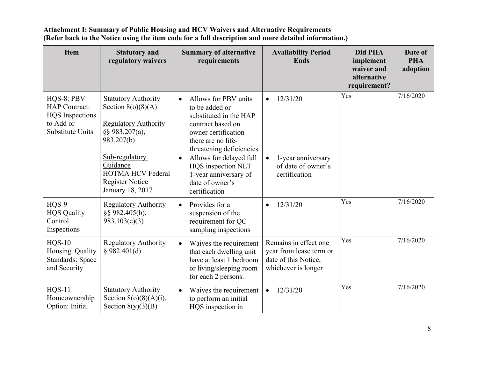| <b>Item</b>                                                                                          | <b>Statutory and</b><br>regulatory waivers                                                                                                                                                                                | <b>Summary of alternative</b><br>requirements                                                                                                                                                                                                                                             | <b>Availability Period</b><br><b>Ends</b>                                                       | Did PHA<br>implement<br>waiver and<br>alternative<br>requirement? | Date of<br><b>PHA</b><br>adoption |
|------------------------------------------------------------------------------------------------------|---------------------------------------------------------------------------------------------------------------------------------------------------------------------------------------------------------------------------|-------------------------------------------------------------------------------------------------------------------------------------------------------------------------------------------------------------------------------------------------------------------------------------------|-------------------------------------------------------------------------------------------------|-------------------------------------------------------------------|-----------------------------------|
| HQS-8: PBV<br><b>HAP</b> Contract:<br><b>HQS</b> Inspections<br>to Add or<br><b>Substitute Units</b> | <b>Statutory Authority</b><br>Section $8(o)(8)(A)$<br><b>Regulatory Authority</b><br>§§ 983.207(a),<br>983.207(b)<br>Sub-regulatory<br>Guidance<br><b>HOTMA HCV Federal</b><br><b>Register Notice</b><br>January 18, 2017 | Allows for PBV units<br>to be added or<br>substituted in the HAP<br>contract based on<br>owner certification<br>there are no life-<br>threatening deficiencies<br>Allows for delayed full<br>$\bullet$<br>HQS inspection NLT<br>1-year anniversary of<br>date of owner's<br>certification | 12/31/20<br>1-year anniversary<br>of date of owner's<br>certification                           | Yes                                                               | 7/16/2020                         |
| HQS-9<br><b>HQS</b> Quality<br>Control<br>Inspections                                                | <b>Regulatory Authority</b><br>§§ 982.405(b),<br>983.103(e)(3)                                                                                                                                                            | Provides for a<br>$\bullet$<br>suspension of the<br>requirement for QC<br>sampling inspections                                                                                                                                                                                            | 12/31/20<br>$\bullet$                                                                           | Yes                                                               | 7/16/2020                         |
| $HQS-10$<br>Housing Quality<br><b>Standards: Space</b><br>and Security                               | <b>Regulatory Authority</b><br>§ 982.401(d)                                                                                                                                                                               | Waives the requirement<br>$\bullet$<br>that each dwelling unit<br>have at least 1 bedroom<br>or living/sleeping room<br>for each 2 persons.                                                                                                                                               | Remains in effect one<br>year from lease term or<br>date of this Notice,<br>whichever is longer | Yes                                                               | 7/16/2020                         |
| <b>HQS-11</b><br>Homeownership<br>Option: Initial                                                    | <b>Statutory Authority</b><br>Section $8(o)(8)(A)(i)$ ,<br>Section $8(y)(3)(B)$                                                                                                                                           | Waives the requirement<br>$\bullet$<br>to perform an initial<br>HQS inspection in                                                                                                                                                                                                         | 12/31/20<br>$\bullet$                                                                           | Yes                                                               | 7/16/2020                         |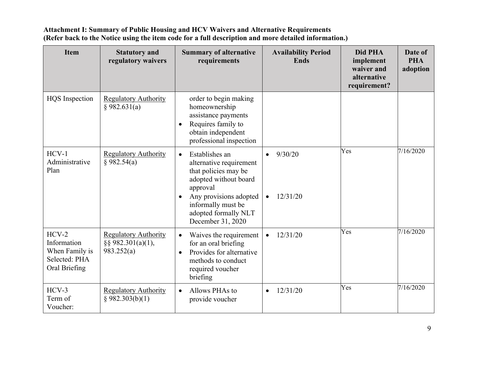| <b>Item</b>                                                                | <b>Statutory and</b><br>regulatory waivers                         | <b>Summary of alternative</b><br>requirements                                                                                                                                                                                 | <b>Availability Period</b><br><b>Ends</b> | Did PHA<br>implement<br>waiver and<br>alternative<br>requirement? | Date of<br><b>PHA</b><br>adoption |
|----------------------------------------------------------------------------|--------------------------------------------------------------------|-------------------------------------------------------------------------------------------------------------------------------------------------------------------------------------------------------------------------------|-------------------------------------------|-------------------------------------------------------------------|-----------------------------------|
| <b>HQS</b> Inspection                                                      | <b>Regulatory Authority</b><br>§ 982.631(a)                        | order to begin making<br>homeownership<br>assistance payments<br>Requires family to<br>obtain independent<br>professional inspection                                                                                          |                                           |                                                                   |                                   |
| $HCV-1$<br>Administrative<br>Plan                                          | <b>Regulatory Authority</b><br>§ 982.54(a)                         | Establishes an<br>$\bullet$<br>alternative requirement<br>that policies may be<br>adopted without board<br>approval<br>Any provisions adopted<br>$\bullet$<br>informally must be<br>adopted formally NLT<br>December 31, 2020 | 9/30/20<br>$\bullet$<br>12/31/20          | Yes                                                               | 7/16/2020                         |
| $HCV-2$<br>Information<br>When Family is<br>Selected: PHA<br>Oral Briefing | <b>Regulatory Authority</b><br>$\S$ § 982.301(a)(1),<br>983.252(a) | Waives the requirement<br>$\bullet$<br>for an oral briefing<br>Provides for alternative<br>$\bullet$<br>methods to conduct<br>required voucher<br>briefing                                                                    | 12/31/20<br>$\bullet$                     | Yes                                                               | 7/16/2020                         |
| $HCV-3$<br>Term of<br>Voucher:                                             | <b>Regulatory Authority</b><br>§ 982.303(b)(1)                     | Allows PHAs to<br>$\bullet$<br>provide voucher                                                                                                                                                                                | 12/31/20<br>$\bullet$                     | Yes                                                               | 7/16/2020                         |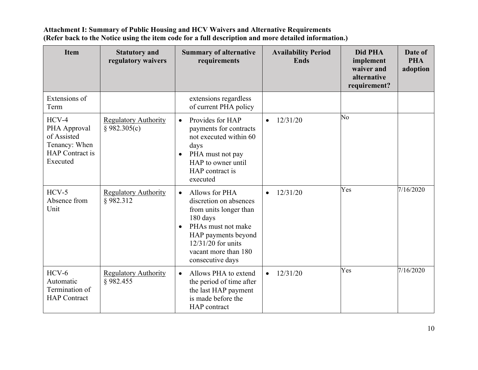| <b>Item</b>                                                                                   | <b>Statutory and</b><br>regulatory waivers  | <b>Summary of alternative</b><br>requirements                                                                                                                                                                             | <b>Availability Period</b><br><b>Ends</b> | Did PHA<br>implement<br>waiver and<br>alternative<br>requirement? | Date of<br><b>PHA</b><br>adoption |
|-----------------------------------------------------------------------------------------------|---------------------------------------------|---------------------------------------------------------------------------------------------------------------------------------------------------------------------------------------------------------------------------|-------------------------------------------|-------------------------------------------------------------------|-----------------------------------|
| Extensions of<br>Term                                                                         |                                             | extensions regardless<br>of current PHA policy                                                                                                                                                                            |                                           |                                                                   |                                   |
| $HCV-4$<br>PHA Approval<br>of Assisted<br>Tenancy: When<br><b>HAP</b> Contract is<br>Executed | <b>Regulatory Authority</b><br>§ 982.305(c) | Provides for HAP<br>$\bullet$<br>payments for contracts<br>not executed within 60<br>days<br>PHA must not pay<br>HAP to owner until<br>HAP contract is<br>executed                                                        | 12/31/20<br>$\bullet$                     | No                                                                |                                   |
| $HCV-5$<br>Absence from<br>Unit                                                               | <b>Regulatory Authority</b><br>§982.312     | Allows for PHA<br>$\bullet$<br>discretion on absences<br>from units longer than<br>180 days<br>PHAs must not make<br>$\bullet$<br>HAP payments beyond<br>$12/31/20$ for units<br>vacant more than 180<br>consecutive days | 12/31/20<br>$\bullet$                     | Yes                                                               | 7/16/2020                         |
| $HCV-6$<br>Automatic<br>Termination of<br><b>HAP</b> Contract                                 | <b>Regulatory Authority</b><br>§982.455     | Allows PHA to extend<br>$\bullet$<br>the period of time after<br>the last HAP payment<br>is made before the<br>HAP contract                                                                                               | 12/31/20<br>$\bullet$                     | Yes                                                               | 7/16/2020                         |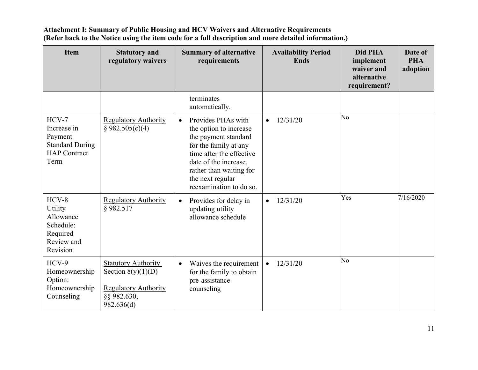| <b>Item</b>                                                                                | <b>Statutory and</b><br>regulatory waivers                                                                     | <b>Summary of alternative</b><br>requirements                                                                                                                                                                                             | <b>Availability Period</b><br><b>Ends</b> | Did PHA<br>implement<br>waiver and<br>alternative<br>requirement? | Date of<br><b>PHA</b><br>adoption |
|--------------------------------------------------------------------------------------------|----------------------------------------------------------------------------------------------------------------|-------------------------------------------------------------------------------------------------------------------------------------------------------------------------------------------------------------------------------------------|-------------------------------------------|-------------------------------------------------------------------|-----------------------------------|
|                                                                                            |                                                                                                                | terminates<br>automatically.                                                                                                                                                                                                              |                                           |                                                                   |                                   |
| $HCV-7$<br>Increase in<br>Payment<br><b>Standard During</b><br><b>HAP</b> Contract<br>Term | <b>Regulatory Authority</b><br>\$982.505(c)(4)                                                                 | Provides PHAs with<br>$\bullet$<br>the option to increase<br>the payment standard<br>for the family at any<br>time after the effective<br>date of the increase,<br>rather than waiting for<br>the next regular<br>reexamination to do so. | 12/31/20<br>$\bullet$                     | No                                                                |                                   |
| $HCV-8$<br>Utility<br>Allowance<br>Schedule:<br>Required<br>Review and<br>Revision         | <b>Regulatory Authority</b><br>§982.517                                                                        | Provides for delay in<br>$\bullet$<br>updating utility<br>allowance schedule                                                                                                                                                              | 12/31/20<br>$\bullet$                     | Yes                                                               | 7/16/2020                         |
| HCV-9<br>Homeownership<br>Option:<br>Homeownership<br>Counseling                           | <b>Statutory Authority</b><br>Section $8(y)(1)(D)$<br><b>Regulatory Authority</b><br>§§ 982.630,<br>982.636(d) | Waives the requirement<br>$\bullet$<br>for the family to obtain<br>pre-assistance<br>counseling                                                                                                                                           | 12/31/20<br>$\bullet$                     | No                                                                |                                   |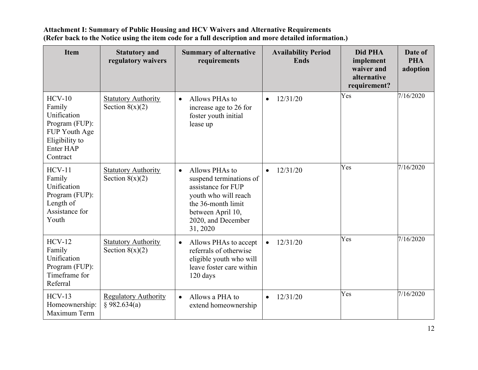| <b>Item</b>                                                                                                            | <b>Statutory and</b><br>regulatory waivers      | <b>Summary of alternative</b><br>requirements                                                                                                                                     | <b>Availability Period</b><br><b>Ends</b> | Did PHA<br>implement<br>waiver and<br>alternative<br>requirement? | Date of<br><b>PHA</b><br>adoption |
|------------------------------------------------------------------------------------------------------------------------|-------------------------------------------------|-----------------------------------------------------------------------------------------------------------------------------------------------------------------------------------|-------------------------------------------|-------------------------------------------------------------------|-----------------------------------|
| $HCV-10$<br>Family<br>Unification<br>Program (FUP):<br>FUP Youth Age<br>Eligibility to<br><b>Enter HAP</b><br>Contract | <b>Statutory Authority</b><br>Section $8(x)(2)$ | Allows PHAs to<br>$\bullet$<br>increase age to 26 for<br>foster youth initial<br>lease up                                                                                         | 12/31/20<br>$\bullet$                     | Yes                                                               | 7/16/2020                         |
| $HCV-11$<br>Family<br>Unification<br>Program (FUP):<br>Length of<br>Assistance for<br>Youth                            | <b>Statutory Authority</b><br>Section $8(x)(2)$ | Allows PHAs to<br>$\bullet$<br>suspend terminations of<br>assistance for FUP<br>youth who will reach<br>the 36-month limit<br>between April 10,<br>2020, and December<br>31, 2020 | 12/31/20                                  | Yes                                                               | 7/16/2020                         |
| $HCV-12$<br>Family<br>Unification<br>Program (FUP):<br>Timeframe for<br>Referral                                       | <b>Statutory Authority</b><br>Section $8(x)(2)$ | Allows PHAs to accept<br>$\bullet$<br>referrals of otherwise<br>eligible youth who will<br>leave foster care within<br>120 days                                                   | 12/31/20<br>$\bullet$                     | Yes                                                               | 7/16/2020                         |
| $HCV-13$<br>Homeownership:<br>Maximum Term                                                                             | <b>Regulatory Authority</b><br>§ 982.634(a)     | Allows a PHA to<br>$\bullet$<br>extend homeownership                                                                                                                              | 12/31/20<br>$\bullet$                     | Yes                                                               | 7/16/2020                         |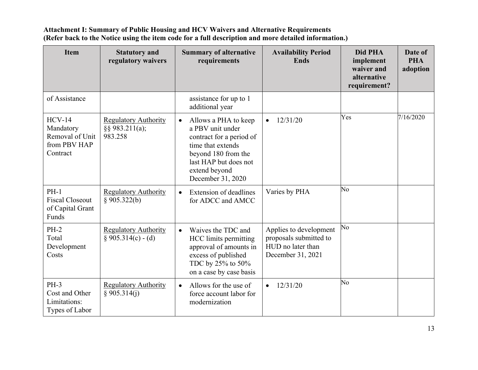| <b>Item</b>                                                          | <b>Statutory and</b><br>regulatory waivers                   | <b>Summary of alternative</b><br>requirements                                                                                                                                                | <b>Availability Period</b><br><b>Ends</b>                                                  | Did PHA<br>implement<br>waiver and<br>alternative<br>requirement? | Date of<br><b>PHA</b><br>adoption |
|----------------------------------------------------------------------|--------------------------------------------------------------|----------------------------------------------------------------------------------------------------------------------------------------------------------------------------------------------|--------------------------------------------------------------------------------------------|-------------------------------------------------------------------|-----------------------------------|
| of Assistance                                                        |                                                              | assistance for up to 1<br>additional year                                                                                                                                                    |                                                                                            |                                                                   |                                   |
| $HCV-14$<br>Mandatory<br>Removal of Unit<br>from PBV HAP<br>Contract | <b>Regulatory Authority</b><br>$\S$ § 983.211(a);<br>983.258 | Allows a PHA to keep<br>$\bullet$<br>a PBV unit under<br>contract for a period of<br>time that extends<br>beyond 180 from the<br>last HAP but does not<br>extend beyond<br>December 31, 2020 | 12/31/20<br>$\bullet$                                                                      | Yes                                                               | 7/16/2020                         |
| $PH-1$<br><b>Fiscal Closeout</b><br>of Capital Grant<br>Funds        | <b>Regulatory Authority</b><br>§ 905.322(b)                  | Extension of deadlines<br>$\bullet$<br>for ADCC and AMCC                                                                                                                                     | Varies by PHA                                                                              | No                                                                |                                   |
| $PH-2$<br>Total<br>Development<br>Costs                              | <b>Regulatory Authority</b><br>$$905.314(c) - (d)$           | Waives the TDC and<br>$\bullet$<br>HCC limits permitting<br>approval of amounts in<br>excess of published<br>TDC by 25% to 50%<br>on a case by case basis                                    | Applies to development<br>proposals submitted to<br>HUD no later than<br>December 31, 2021 | No                                                                |                                   |
| $PH-3$<br>Cost and Other<br>Limitations:<br>Types of Labor           | <b>Regulatory Authority</b><br>§ 905.314(j)                  | Allows for the use of<br>$\bullet$<br>force account labor for<br>modernization                                                                                                               | 12/31/20<br>$\bullet$                                                                      | No                                                                |                                   |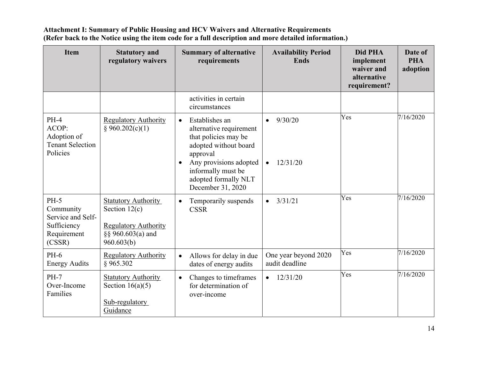| <b>Item</b>                                                                      | <b>Statutory and</b><br>regulatory waivers                                                                      | <b>Summary of alternative</b><br>requirements                                                                                                                                                                                 | <b>Availability Period</b><br><b>Ends</b>     | Did PHA<br>implement<br>waiver and<br>alternative<br>requirement? | Date of<br><b>PHA</b><br>adoption |
|----------------------------------------------------------------------------------|-----------------------------------------------------------------------------------------------------------------|-------------------------------------------------------------------------------------------------------------------------------------------------------------------------------------------------------------------------------|-----------------------------------------------|-------------------------------------------------------------------|-----------------------------------|
|                                                                                  |                                                                                                                 | activities in certain<br>circumstances                                                                                                                                                                                        |                                               |                                                                   |                                   |
| $PH-4$<br>ACOP:<br>Adoption of<br><b>Tenant Selection</b><br>Policies            | <b>Regulatory Authority</b><br>§ 960.202(c)(1)                                                                  | Establishes an<br>$\bullet$<br>alternative requirement<br>that policies may be<br>adopted without board<br>approval<br>Any provisions adopted<br>$\bullet$<br>informally must be<br>adopted formally NLT<br>December 31, 2020 | 9/30/20<br>$\bullet$<br>12/31/20<br>$\bullet$ | Yes                                                               | 7/16/2020                         |
| $PH-5$<br>Community<br>Service and Self-<br>Sufficiency<br>Requirement<br>(CSSR) | <b>Statutory Authority</b><br>Section $12(c)$<br><b>Regulatory Authority</b><br>§§ 960.603(a) and<br>960.603(b) | Temporarily suspends<br>$\bullet$<br><b>CSSR</b>                                                                                                                                                                              | 3/31/21<br>$\bullet$                          | Yes                                                               | 7/16/2020                         |
| $PH-6$<br><b>Energy Audits</b>                                                   | <b>Regulatory Authority</b><br>§965.302                                                                         | Allows for delay in due<br>$\bullet$<br>dates of energy audits                                                                                                                                                                | One year beyond 2020<br>audit deadline        | Yes                                                               | 7/16/2020                         |
| $PH-7$<br>Over-Income<br>Families                                                | <b>Statutory Authority</b><br>Section $16(a)(5)$<br>Sub-regulatory<br>Guidance                                  | Changes to timeframes<br>$\bullet$<br>for determination of<br>over-income                                                                                                                                                     | 12/31/20<br>$\bullet$                         | Yes                                                               | 7/16/2020                         |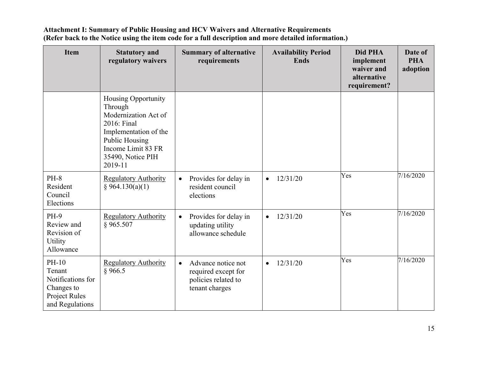| <b>Item</b>                                                                            | <b>Statutory and</b><br>regulatory waivers                                                                                                                             | <b>Summary of alternative</b><br>requirements                                                   | <b>Availability Period</b><br><b>Ends</b> | Did PHA<br>implement<br>waiver and<br>alternative<br>requirement? | Date of<br><b>PHA</b><br>adoption |
|----------------------------------------------------------------------------------------|------------------------------------------------------------------------------------------------------------------------------------------------------------------------|-------------------------------------------------------------------------------------------------|-------------------------------------------|-------------------------------------------------------------------|-----------------------------------|
|                                                                                        | Housing Opportunity<br>Through<br>Modernization Act of<br>2016: Final<br>Implementation of the<br>Public Housing<br>Income Limit 83 FR<br>35490, Notice PIH<br>2019-11 |                                                                                                 |                                           |                                                                   |                                   |
| <b>PH-8</b><br>Resident<br>Council<br>Elections                                        | <b>Regulatory Authority</b><br>§ 964.130(a)(1)                                                                                                                         | Provides for delay in<br>$\bullet$<br>resident council<br>elections                             | 12/31/20<br>$\bullet$                     | Yes                                                               | 7/16/2020                         |
| <b>PH-9</b><br>Review and<br>Revision of<br>Utility<br>Allowance                       | <b>Regulatory Authority</b><br>§965.507                                                                                                                                | Provides for delay in<br>$\bullet$<br>updating utility<br>allowance schedule                    | 12/31/20<br>$\bullet$                     | Yes                                                               | 7/16/2020                         |
| PH-10<br>Tenant<br>Notifications for<br>Changes to<br>Project Rules<br>and Regulations | <b>Regulatory Authority</b><br>§ 966.5                                                                                                                                 | Advance notice not<br>$\bullet$<br>required except for<br>policies related to<br>tenant charges | 12/31/20<br>$\bullet$                     | Yes                                                               | 7/16/2020                         |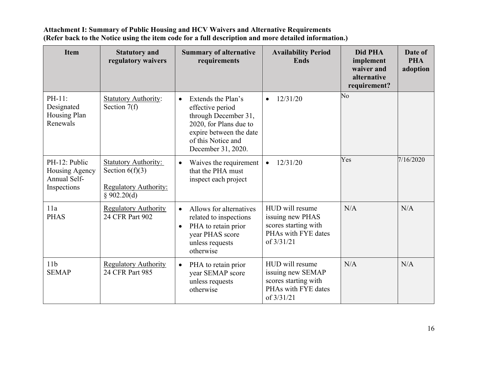| <b>Item</b>                                                    | <b>Statutory and</b><br>regulatory waivers                                                      | <b>Summary of alternative</b><br>requirements                                                                                                                                | <b>Availability Period</b><br><b>Ends</b>                                                          | Did PHA<br>implement<br>waiver and<br>alternative<br>requirement? | Date of<br><b>PHA</b><br>adoption |
|----------------------------------------------------------------|-------------------------------------------------------------------------------------------------|------------------------------------------------------------------------------------------------------------------------------------------------------------------------------|----------------------------------------------------------------------------------------------------|-------------------------------------------------------------------|-----------------------------------|
| PH-11:<br>Designated<br>Housing Plan<br>Renewals               | <b>Statutory Authority:</b><br>Section $7(f)$                                                   | Extends the Plan's<br>$\bullet$<br>effective period<br>through December 31,<br>2020, for Plans due to<br>expire between the date<br>of this Notice and<br>December 31, 2020. | 12/31/20<br>$\bullet$                                                                              | $\overline{N}$ o                                                  |                                   |
| PH-12: Public<br>Housing Agency<br>Annual Self-<br>Inspections | <b>Statutory Authority:</b><br>Section $6(f)(3)$<br><b>Regulatory Authority:</b><br>§ 902.20(d) | Waives the requirement<br>$\bullet$<br>that the PHA must<br>inspect each project                                                                                             | 12/31/20<br>$\bullet$                                                                              | Yes                                                               | 7/16/2020                         |
| 11a<br><b>PHAS</b>                                             | <b>Regulatory Authority</b><br>24 CFR Part 902                                                  | Allows for alternatives<br>$\bullet$<br>related to inspections<br>PHA to retain prior<br>$\bullet$<br>year PHAS score<br>unless requests<br>otherwise                        | HUD will resume<br>issuing new PHAS<br>scores starting with<br>PHAs with FYE dates<br>of $3/31/21$ | N/A                                                               | N/A                               |
| 11 <sub>b</sub><br><b>SEMAP</b>                                | <b>Regulatory Authority</b><br>24 CFR Part 985                                                  | PHA to retain prior<br>$\bullet$<br>year SEMAP score<br>unless requests<br>otherwise                                                                                         | HUD will resume<br>issuing new SEMAP<br>scores starting with<br>PHAs with FYE dates<br>of 3/31/21  | N/A                                                               | N/A                               |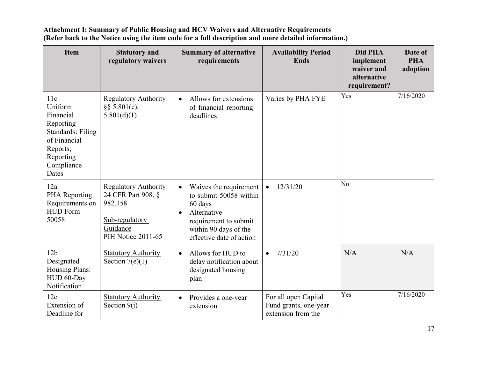| <b>Item</b>                                                                                                                          | <b>Statutory and</b><br>regulatory waivers                                                                              | <b>Summary of alternative</b><br>requirements                                                                                                                                      | <b>Availability Period</b><br><b>Ends</b>                           | Did PHA<br>implement<br>waiver and<br>alternative<br>requirement? | Date of<br><b>PHA</b><br>adoption |
|--------------------------------------------------------------------------------------------------------------------------------------|-------------------------------------------------------------------------------------------------------------------------|------------------------------------------------------------------------------------------------------------------------------------------------------------------------------------|---------------------------------------------------------------------|-------------------------------------------------------------------|-----------------------------------|
| 11c<br>Uniform<br>Financial<br>Reporting<br><b>Standards: Filing</b><br>of Financial<br>Reports;<br>Reporting<br>Compliance<br>Dates | <b>Regulatory Authority</b><br>$\S$ § 5.801(c),<br>5.801(d)(1)                                                          | Allows for extensions<br>$\bullet$<br>of financial reporting<br>deadlines                                                                                                          | Varies by PHA FYE                                                   | Yes                                                               | 7/16/2020                         |
| 12a<br>PHA Reporting<br>Requirements on<br><b>HUD Form</b><br>50058                                                                  | <b>Regulatory Authority</b><br>24 CFR Part 908, §<br>982.158<br>Sub-regulatory<br>Guidance<br><b>PIH Notice 2011-65</b> | Waives the requirement<br>$\bullet$<br>to submit 50058 within<br>60 days<br>Alternative<br>$\bullet$<br>requirement to submit<br>within 90 days of the<br>effective date of action | 12/31/20<br>$\bullet$                                               | No                                                                |                                   |
| 12 <sub>b</sub><br>Designated<br>Housing Plans:<br>HUD 60-Day<br>Notification                                                        | <b>Statutory Authority</b><br>Section $7(e)(1)$                                                                         | Allows for HUD to<br>$\bullet$<br>delay notification about<br>designated housing<br>plan                                                                                           | 7/31/20<br>$\bullet$                                                | N/A                                                               | N/A                               |
| 12c<br>Extension of<br>Deadline for                                                                                                  | <b>Statutory Authority</b><br>Section $9(i)$                                                                            | Provides a one-year<br>$\bullet$<br>extension                                                                                                                                      | For all open Capital<br>Fund grants, one-year<br>extension from the | Yes                                                               | 7/16/2020                         |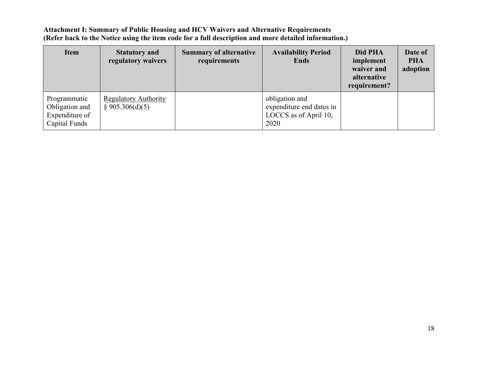| <b>Item</b>                                                       | <b>Statutory and</b><br>regulatory waivers     | <b>Summary of alternative</b><br>requirements | <b>Availability Period</b><br><b>Ends</b>                                   | Did PHA<br>implement<br>waiver and<br>alternative<br>requirement? | Date of<br><b>PHA</b><br>adoption |
|-------------------------------------------------------------------|------------------------------------------------|-----------------------------------------------|-----------------------------------------------------------------------------|-------------------------------------------------------------------|-----------------------------------|
| Programmatic<br>Obligation and<br>Expenditure of<br>Capital Funds | <b>Regulatory Authority</b><br>\$905.306(d)(5) |                                               | obligation and<br>expenditure end dates in<br>LOCCS as of April 10,<br>2020 |                                                                   |                                   |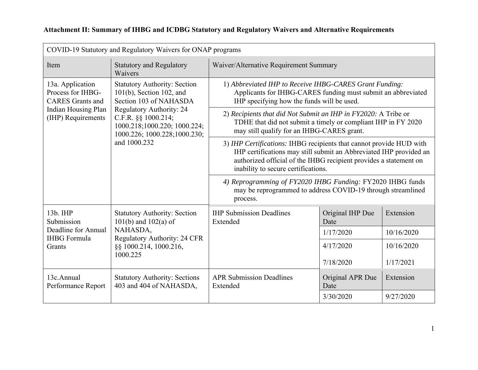| Attachment II: Summary of IHBG and ICDBG Statutory and Regulatory Waivers and Alternative Requirements |  |  |  |
|--------------------------------------------------------------------------------------------------------|--|--|--|
|                                                                                                        |  |  |  |

| COVID-19 Statutory and Regulatory Waivers for ONAP programs                                                                                                      |                                                                                                                                                                       |                                                                                                                                                                                                                                                       |                          |            |
|------------------------------------------------------------------------------------------------------------------------------------------------------------------|-----------------------------------------------------------------------------------------------------------------------------------------------------------------------|-------------------------------------------------------------------------------------------------------------------------------------------------------------------------------------------------------------------------------------------------------|--------------------------|------------|
| Item                                                                                                                                                             | <b>Statutory and Regulatory</b><br>Waivers                                                                                                                            | Waiver/Alternative Requirement Summary                                                                                                                                                                                                                |                          |            |
| 13a. Application<br><b>Statutory Authority: Section</b><br>Process for IHBG-<br>$101(b)$ , Section 102, and<br>Section 103 of NAHASDA<br><b>CARES</b> Grants and | 1) Abbreviated IHP to Receive IHBG-CARES Grant Funding:<br>Applicants for IHBG-CARES funding must submit an abbreviated<br>IHP specifying how the funds will be used. |                                                                                                                                                                                                                                                       |                          |            |
| <b>Indian Housing Plan</b><br>(IHP) Requirements                                                                                                                 | <b>Regulatory Authority: 24</b><br>C.F.R. §§ 1000.214;<br>1000.218;1000.220; 1000.224;<br>1000.226; 1000.228; 1000.230;<br>and 1000.232                               | 2) Recipients that did Not Submit an IHP in FY2020: A Tribe or<br>TDHE that did not submit a timely or compliant IHP in FY 2020<br>may still qualify for an IHBG-CARES grant.                                                                         |                          |            |
|                                                                                                                                                                  |                                                                                                                                                                       | 3) IHP Certifications: IHBG recipients that cannot provide HUD with<br>IHP certifications may still submit an Abbreviated IHP provided an<br>authorized official of the IHBG recipient provides a statement on<br>inability to secure certifications. |                          |            |
|                                                                                                                                                                  | 4) Reprogramming of FY2020 IHBG Funding: FY2020 IHBG funds<br>may be reprogrammed to address COVID-19 through streamlined<br>process.                                 |                                                                                                                                                                                                                                                       |                          |            |
| 13b. IHP<br>Submission                                                                                                                                           | <b>Statutory Authority: Section</b><br>$101(b)$ and $102(a)$ of                                                                                                       | <b>IHP Submission Deadlines</b><br>Extended                                                                                                                                                                                                           | Original IHP Due<br>Date | Extension  |
| Deadline for Annual<br><b>IHBG</b> Formula                                                                                                                       | NAHASDA,<br>Regulatory Authority: 24 CFR                                                                                                                              |                                                                                                                                                                                                                                                       | 1/17/2020                | 10/16/2020 |
| Grants                                                                                                                                                           | §§ 1000.214, 1000.216,                                                                                                                                                |                                                                                                                                                                                                                                                       | 4/17/2020                | 10/16/2020 |
|                                                                                                                                                                  | 1000.225                                                                                                                                                              |                                                                                                                                                                                                                                                       | 7/18/2020                | 1/17/2021  |
| 13c.Annual<br>Performance Report                                                                                                                                 | <b>Statutory Authority: Sections</b><br>403 and 404 of NAHASDA,                                                                                                       | <b>APR Submission Deadlines</b><br>Extended                                                                                                                                                                                                           | Original APR Due<br>Date | Extension  |
|                                                                                                                                                                  |                                                                                                                                                                       |                                                                                                                                                                                                                                                       | 3/30/2020                | 9/27/2020  |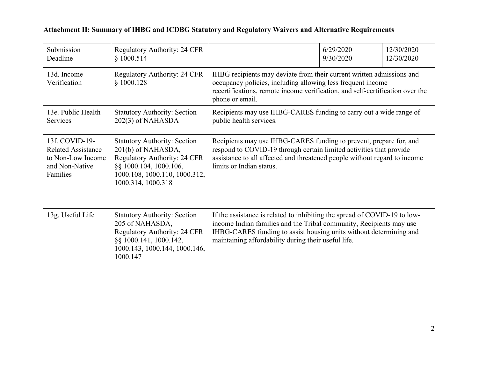| Submission<br>Deadline                                                                         | <b>Regulatory Authority: 24 CFR</b><br>\$1000.514                                                                                                                                 |                                                                                                                                                                                                                                                                               | 6/29/2020<br>9/30/2020 | 12/30/2020<br>12/30/2020 |
|------------------------------------------------------------------------------------------------|-----------------------------------------------------------------------------------------------------------------------------------------------------------------------------------|-------------------------------------------------------------------------------------------------------------------------------------------------------------------------------------------------------------------------------------------------------------------------------|------------------------|--------------------------|
| 13d. Income<br>Verification                                                                    | <b>Regulatory Authority: 24 CFR</b><br>\$1000.128                                                                                                                                 | IHBG recipients may deviate from their current written admissions and<br>occupancy policies, including allowing less frequent income<br>recertifications, remote income verification, and self-certification over the<br>phone or email.                                      |                        |                          |
| 13e. Public Health<br>Services                                                                 | <b>Statutory Authority: Section</b><br>202(3) of NAHASDA                                                                                                                          | Recipients may use IHBG-CARES funding to carry out a wide range of<br>public health services.                                                                                                                                                                                 |                        |                          |
| 13f. COVID-19-<br><b>Related Assistance</b><br>to Non-Low Income<br>and Non-Native<br>Families | <b>Statutory Authority: Section</b><br>201(b) of NAHASDA,<br><b>Regulatory Authority: 24 CFR</b><br>§§ 1000.104, 1000.106,<br>1000.108, 1000.110, 1000.312,<br>1000.314, 1000.318 | Recipients may use IHBG-CARES funding to prevent, prepare for, and<br>respond to COVID-19 through certain limited activities that provide<br>assistance to all affected and threatened people without regard to income<br>limits or Indian status.                            |                        |                          |
| 13g. Useful Life                                                                               | <b>Statutory Authority: Section</b><br>205 of NAHASDA,<br><b>Regulatory Authority: 24 CFR</b><br>§§ 1000.141, 1000.142,<br>1000.143, 1000.144, 1000.146,<br>1000.147              | If the assistance is related to inhibiting the spread of COVID-19 to low-<br>income Indian families and the Tribal community, Recipients may use<br>IHBG-CARES funding to assist housing units without determining and<br>maintaining affordability during their useful life. |                        |                          |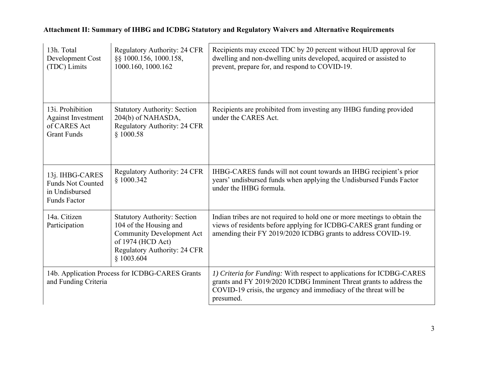| 13h. Total<br>Development Cost<br>(TDC) Limits                                       | <b>Regulatory Authority: 24 CFR</b><br>§§ 1000.156, 1000.158,<br>1000.160, 1000.162                                                                                         | Recipients may exceed TDC by 20 percent without HUD approval for<br>dwelling and non-dwelling units developed, acquired or assisted to<br>prevent, prepare for, and respond to COVID-19.                                      |
|--------------------------------------------------------------------------------------|-----------------------------------------------------------------------------------------------------------------------------------------------------------------------------|-------------------------------------------------------------------------------------------------------------------------------------------------------------------------------------------------------------------------------|
| 13i. Prohibition<br><b>Against Investment</b><br>of CARES Act<br><b>Grant Funds</b>  | <b>Statutory Authority: Section</b><br>204(b) of NAHASDA,<br>Regulatory Authority: 24 CFR<br>\$1000.58                                                                      | Recipients are prohibited from investing any IHBG funding provided<br>under the CARES Act.                                                                                                                                    |
| 13j. IHBG-CARES<br><b>Funds Not Counted</b><br>in Undisbursed<br><b>Funds Factor</b> | <b>Regulatory Authority: 24 CFR</b><br>\$1000.342                                                                                                                           | IHBG-CARES funds will not count towards an IHBG recipient's prior<br>years' undisbursed funds when applying the Undisbursed Funds Factor<br>under the IHBG formula.                                                           |
| 14a. Citizen<br>Participation                                                        | <b>Statutory Authority: Section</b><br>104 of the Housing and<br><b>Community Development Act</b><br>of 1974 (HCD Act)<br><b>Regulatory Authority: 24 CFR</b><br>\$1003.604 | Indian tribes are not required to hold one or more meetings to obtain the<br>views of residents before applying for ICDBG-CARES grant funding or<br>amending their FY 2019/2020 ICDBG grants to address COVID-19.             |
| 14b. Application Process for ICDBG-CARES Grants<br>and Funding Criteria              |                                                                                                                                                                             | 1) Criteria for Funding: With respect to applications for ICDBG-CARES<br>grants and FY 2019/2020 ICDBG Imminent Threat grants to address the<br>COVID-19 crisis, the urgency and immediacy of the threat will be<br>presumed. |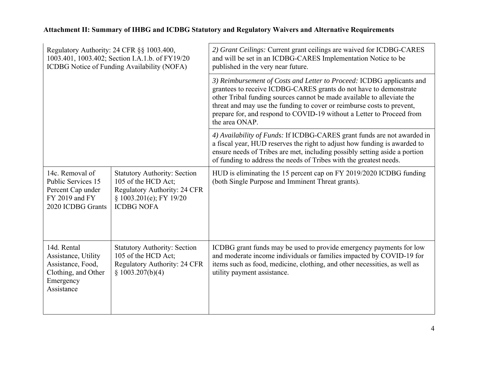| Regulatory Authority: 24 CFR §§ 1003.400,<br>1003.401, 1003.402; Section I.A.1.b. of FY19/20<br>ICDBG Notice of Funding Availability (NOFA) |                                                                                                                                                   | 2) Grant Ceilings: Current grant ceilings are waived for ICDBG-CARES<br>and will be set in an ICDBG-CARES Implementation Notice to be<br>published in the very near future.                                                                                                                                                                                                               |
|---------------------------------------------------------------------------------------------------------------------------------------------|---------------------------------------------------------------------------------------------------------------------------------------------------|-------------------------------------------------------------------------------------------------------------------------------------------------------------------------------------------------------------------------------------------------------------------------------------------------------------------------------------------------------------------------------------------|
|                                                                                                                                             |                                                                                                                                                   | 3) Reimbursement of Costs and Letter to Proceed: ICDBG applicants and<br>grantees to receive ICDBG-CARES grants do not have to demonstrate<br>other Tribal funding sources cannot be made available to alleviate the<br>threat and may use the funding to cover or reimburse costs to prevent,<br>prepare for, and respond to COVID-19 without a Letter to Proceed from<br>the area ONAP. |
|                                                                                                                                             |                                                                                                                                                   | 4) Availability of Funds: If ICDBG-CARES grant funds are not awarded in<br>a fiscal year, HUD reserves the right to adjust how funding is awarded to<br>ensure needs of Tribes are met, including possibly setting aside a portion<br>of funding to address the needs of Tribes with the greatest needs.                                                                                  |
| 14c. Removal of<br>Public Services 15<br>Percent Cap under<br>FY 2019 and FY<br>2020 ICDBG Grants                                           | <b>Statutory Authority: Section</b><br>105 of the HCD Act;<br><b>Regulatory Authority: 24 CFR</b><br>§ 1003.201(e); FY 19/20<br><b>ICDBG NOFA</b> | HUD is eliminating the 15 percent cap on FY 2019/2020 ICDBG funding<br>(both Single Purpose and Imminent Threat grants).                                                                                                                                                                                                                                                                  |
| 14d. Rental<br>Assistance, Utility<br>Assistance, Food,<br>Clothing, and Other<br>Emergency<br>Assistance                                   | <b>Statutory Authority: Section</b><br>105 of the HCD Act;<br>Regulatory Authority: 24 CFR<br>\$1003.207(b)(4)                                    | ICDBG grant funds may be used to provide emergency payments for low<br>and moderate income individuals or families impacted by COVID-19 for<br>items such as food, medicine, clothing, and other necessities, as well as<br>utility payment assistance.                                                                                                                                   |